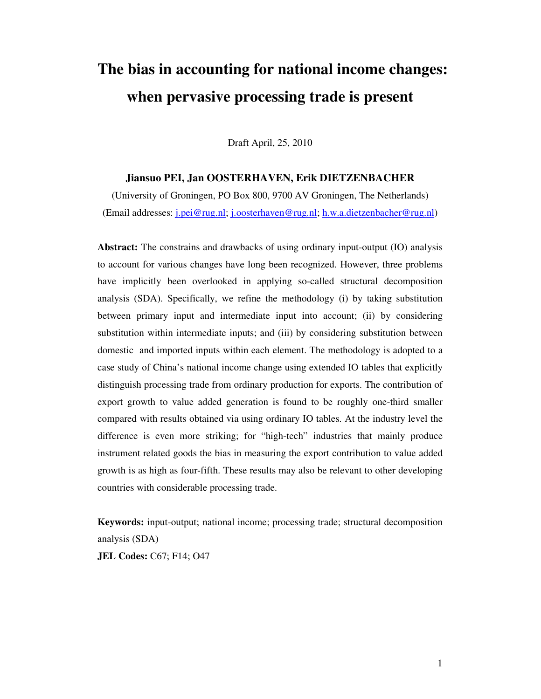# **The bias in accounting for national income changes: when pervasive processing trade is present**

Draft April, 25, 2010

#### **Jiansuo PEI, Jan OOSTERHAVEN, Erik DIETZENBACHER**

(University of Groningen, PO Box 800, 9700 AV Groningen, The Netherlands) (Email addresses: j.pei@rug.nl; j.oosterhaven@rug.nl; h.w.a.dietzenbacher@rug.nl)

**Abstract:** The constrains and drawbacks of using ordinary input-output (IO) analysis to account for various changes have long been recognized. However, three problems have implicitly been overlooked in applying so-called structural decomposition analysis (SDA). Specifically, we refine the methodology (i) by taking substitution between primary input and intermediate input into account; (ii) by considering substitution within intermediate inputs; and (iii) by considering substitution between domestic and imported inputs within each element. The methodology is adopted to a case study of China's national income change using extended IO tables that explicitly distinguish processing trade from ordinary production for exports. The contribution of export growth to value added generation is found to be roughly one-third smaller compared with results obtained via using ordinary IO tables. At the industry level the difference is even more striking; for "high-tech" industries that mainly produce instrument related goods the bias in measuring the export contribution to value added growth is as high as four-fifth. These results may also be relevant to other developing countries with considerable processing trade.

**Keywords:** input-output; national income; processing trade; structural decomposition analysis (SDA)

**JEL Codes:** C67; F14; O47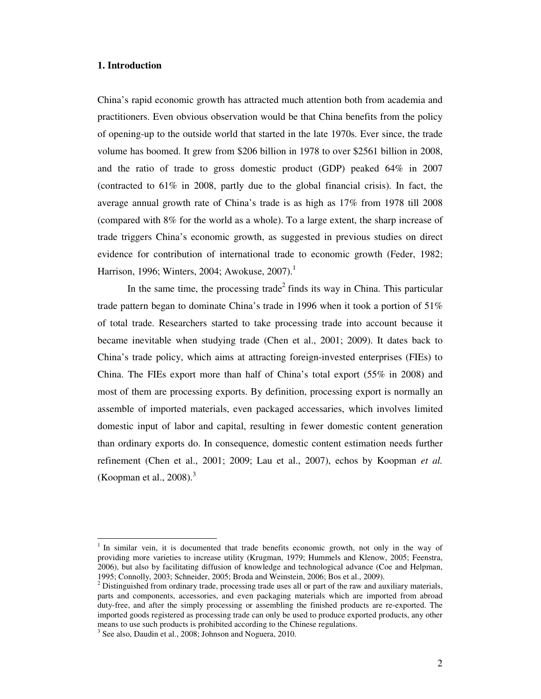#### **1. Introduction**

China's rapid economic growth has attracted much attention both from academia and practitioners. Even obvious observation would be that China benefits from the policy of opening-up to the outside world that started in the late 1970s. Ever since, the trade volume has boomed. It grew from \$206 billion in 1978 to over \$2561 billion in 2008, and the ratio of trade to gross domestic product (GDP) peaked 64% in 2007 (contracted to 61% in 2008, partly due to the global financial crisis). In fact, the average annual growth rate of China's trade is as high as 17% from 1978 till 2008 (compared with 8% for the world as a whole). To a large extent, the sharp increase of trade triggers China's economic growth, as suggested in previous studies on direct evidence for contribution of international trade to economic growth (Feder, 1982; Harrison, 1996; Winters, 2004; Awokuse, 2007).<sup>1</sup>

In the same time, the processing trade<sup>2</sup> finds its way in China. This particular trade pattern began to dominate China's trade in 1996 when it took a portion of 51% of total trade. Researchers started to take processing trade into account because it became inevitable when studying trade (Chen et al., 2001; 2009). It dates back to China's trade policy, which aims at attracting foreign-invested enterprises (FIEs) to China. The FIEs export more than half of China's total export (55% in 2008) and most of them are processing exports. By definition, processing export is normally an assemble of imported materials, even packaged accessaries, which involves limited domestic input of labor and capital, resulting in fewer domestic content generation than ordinary exports do. In consequence, domestic content estimation needs further refinement (Chen et al., 2001; 2009; Lau et al., 2007), echos by Koopman *et al.* (Koopman et al.,  $2008$ ).<sup>3</sup>

<sup>1</sup> In similar vein, it is documented that trade benefits economic growth, not only in the way of providing more varieties to increase utility (Krugman, 1979; Hummels and Klenow, 2005; Feenstra, 2006), but also by facilitating diffusion of knowledge and technological advance (Coe and Helpman, 1995; Connolly, 2003; Schneider, 2005; Broda and Weinstein, 2006; Bos et al., 2009).

 $2^{2}$  Distinguished from ordinary trade, processing trade uses all or part of the raw and auxiliary materials, parts and components, accessories, and even packaging materials which are imported from abroad duty-free, and after the simply processing or assembling the finished products are re-exported. The imported goods registered as processing trade can only be used to produce exported products, any other means to use such products is prohibited according to the Chinese regulations.

<sup>&</sup>lt;sup>3</sup> See also, Daudin et al., 2008; Johnson and Noguera, 2010.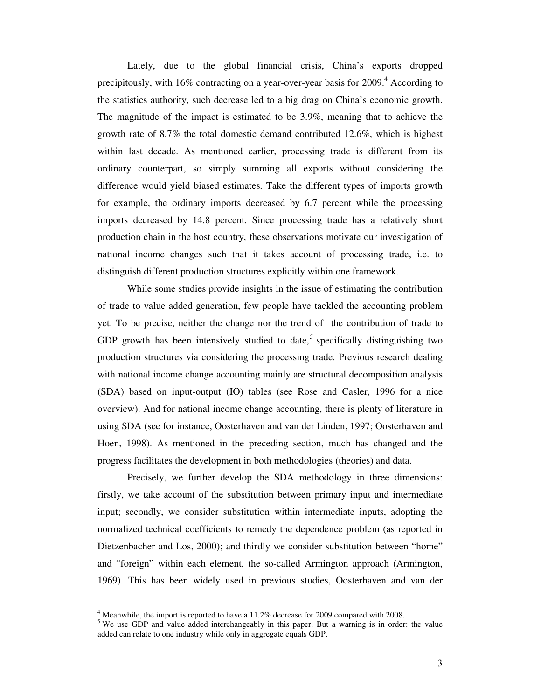Lately, due to the global financial crisis, China's exports dropped precipitously, with 16% contracting on a year-over-year basis for  $2009.4$  According to the statistics authority, such decrease led to a big drag on China's economic growth. The magnitude of the impact is estimated to be 3.9%, meaning that to achieve the growth rate of 8.7% the total domestic demand contributed 12.6%, which is highest within last decade. As mentioned earlier, processing trade is different from its ordinary counterpart, so simply summing all exports without considering the difference would yield biased estimates. Take the different types of imports growth for example, the ordinary imports decreased by 6.7 percent while the processing imports decreased by 14.8 percent. Since processing trade has a relatively short production chain in the host country, these observations motivate our investigation of national income changes such that it takes account of processing trade, i.e. to distinguish different production structures explicitly within one framework.

While some studies provide insights in the issue of estimating the contribution of trade to value added generation, few people have tackled the accounting problem yet. To be precise, neither the change nor the trend of the contribution of trade to GDP growth has been intensively studied to date,<sup>5</sup> specifically distinguishing two production structures via considering the processing trade. Previous research dealing with national income change accounting mainly are structural decomposition analysis (SDA) based on input-output (IO) tables (see Rose and Casler, 1996 for a nice overview). And for national income change accounting, there is plenty of literature in using SDA (see for instance, Oosterhaven and van der Linden, 1997; Oosterhaven and Hoen, 1998). As mentioned in the preceding section, much has changed and the progress facilitates the development in both methodologies (theories) and data.

Precisely, we further develop the SDA methodology in three dimensions: firstly, we take account of the substitution between primary input and intermediate input; secondly, we consider substitution within intermediate inputs, adopting the normalized technical coefficients to remedy the dependence problem (as reported in Dietzenbacher and Los, 2000); and thirdly we consider substitution between "home" and "foreign" within each element, the so-called Armington approach (Armington, 1969). This has been widely used in previous studies, Oosterhaven and van der

 $4$  Meanwhile, the import is reported to have a 11.2% decrease for 2009 compared with 2008.

<sup>&</sup>lt;sup>5</sup> We use GDP and value added interchangeably in this paper. But a warning is in order: the value added can relate to one industry while only in aggregate equals GDP.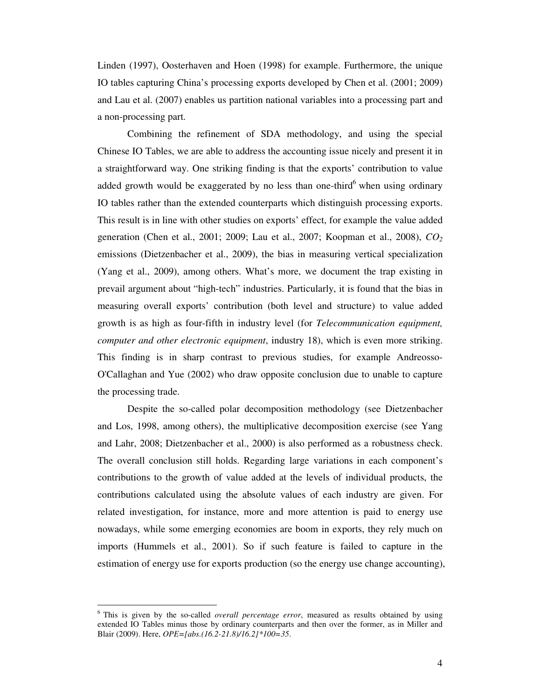Linden (1997), Oosterhaven and Hoen (1998) for example. Furthermore, the unique IO tables capturing China's processing exports developed by Chen et al. (2001; 2009) and Lau et al. (2007) enables us partition national variables into a processing part and a non-processing part.

Combining the refinement of SDA methodology, and using the special Chinese IO Tables, we are able to address the accounting issue nicely and present it in a straightforward way. One striking finding is that the exports' contribution to value added growth would be exaggerated by no less than one-third <sup>6</sup> when using ordinary IO tables rather than the extended counterparts which distinguish processing exports. This result is in line with other studies on exports' effect, for example the value added generation (Chen et al., 2001; 2009; Lau et al., 2007; Koopman et al., 2008), *CO<sup>2</sup>* emissions (Dietzenbacher et al., 2009), the bias in measuring vertical specialization (Yang et al., 2009), among others. What's more, we document the trap existing in prevail argument about "high-tech" industries. Particularly, it is found that the bias in measuring overall exports' contribution (both level and structure) to value added growth is as high as four-fifth in industry level (for *Telecommunication equipment, computer and other electronic equipment*, industry 18), which is even more striking. This finding is in sharp contrast to previous studies, for example Andreosso-O'Callaghan and Yue (2002) who draw opposite conclusion due to unable to capture the processing trade.

Despite the so-called polar decomposition methodology (see Dietzenbacher and Los, 1998, among others), the multiplicative decomposition exercise (see Yang and Lahr, 2008; Dietzenbacher et al., 2000) is also performed as a robustness check. The overall conclusion still holds. Regarding large variations in each component's contributions to the growth of value added at the levels of individual products, the contributions calculated using the absolute values of each industry are given. For related investigation, for instance, more and more attention is paid to energy use nowadays, while some emerging economies are boom in exports, they rely much on imports (Hummels et al., 2001). So if such feature is failed to capture in the estimation of energy use for exports production (so the energy use change accounting),

<sup>6</sup> This is given by the so-called *overall percentage error*, measured as results obtained by using extended IO Tables minus those by ordinary counterparts and then over the former, as in Miller and Blair (2009). Here, *OPE=[abs.(16.2-21.8)/16.2]\*100=35*.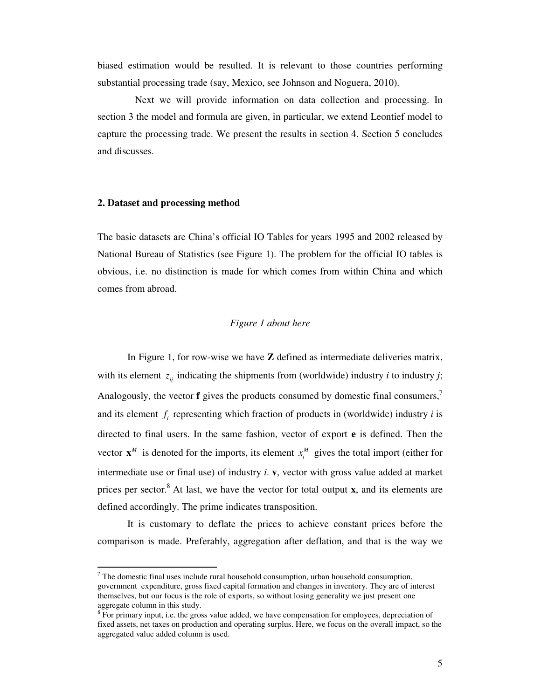biased estimation would be resulted. It is relevant to those countries performing substantial processing trade (say, Mexico, see Johnson and Noguera, 2010).

 Next we will provide information on data collection and processing. In section 3 the model and formula are given, in particular, we extend Leontief model to capture the processing trade. We present the results in section 4. Section 5 concludes and discusses.

#### **2. Dataset and processing method**

 $\ddot{\phantom{a}}$ 

The basic datasets are China's official IO Tables for years 1995 and 2002 released by National Bureau of Statistics (see Figure 1). The problem for the official IO tables is obvious, i.e. no distinction is made for which comes from within China and which comes from abroad.

#### *Figure 1 about here*

In Figure 1, for row-wise we have **Z** defined as intermediate deliveries matrix, with its element  $z_{ij}$  indicating the shipments from (worldwide) industry *i* to industry *j*; Analogously, the vector **f** gives the products consumed by domestic final consumers.<sup>7</sup> and its element  $f_i$  representing which fraction of products in (worldwide) industry  $i$  is directed to final users. In the same fashion, vector of export **e** is defined. Then the vector  $\mathbf{x}^M$  is denoted for the imports, its element  $x_i^M$  gives the total import (either for intermediate use or final use) of industry *i*. **v**, vector with gross value added at market prices per sector.<sup>8</sup> At last, we have the vector for total output **x**, and its elements are defined accordingly. The prime indicates transposition.

It is customary to deflate the prices to achieve constant prices before the comparison is made. Preferably, aggregation after deflation, and that is the way we

 $<sup>7</sup>$  The domestic final uses include rural household consumption, urban household consumption,</sup> government expenditure, gross fixed capital formation and changes in inventory. They are of interest themselves, but our focus is the role of exports, so without losing generality we just present one aggregate column in this study.

<sup>&</sup>lt;sup>8</sup> For primary input, i.e. the gross value added, we have compensation for employees, depreciation of fixed assets, net taxes on production and operating surplus. Here, we focus on the overall impact, so the aggregated value added column is used.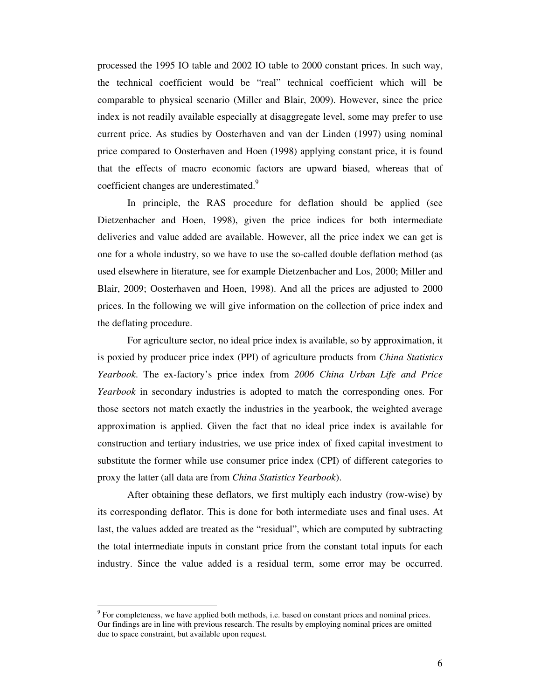processed the 1995 IO table and 2002 IO table to 2000 constant prices. In such way, the technical coefficient would be "real" technical coefficient which will be comparable to physical scenario (Miller and Blair, 2009). However, since the price index is not readily available especially at disaggregate level, some may prefer to use current price. As studies by Oosterhaven and van der Linden (1997) using nominal price compared to Oosterhaven and Hoen (1998) applying constant price, it is found that the effects of macro economic factors are upward biased, whereas that of coefficient changes are underestimated.<sup>9</sup>

In principle, the RAS procedure for deflation should be applied (see Dietzenbacher and Hoen, 1998), given the price indices for both intermediate deliveries and value added are available. However, all the price index we can get is one for a whole industry, so we have to use the so-called double deflation method (as used elsewhere in literature, see for example Dietzenbacher and Los, 2000; Miller and Blair, 2009; Oosterhaven and Hoen, 1998). And all the prices are adjusted to 2000 prices. In the following we will give information on the collection of price index and the deflating procedure.

For agriculture sector, no ideal price index is available, so by approximation, it is poxied by producer price index (PPI) of agriculture products from *China Statistics Yearbook*. The ex-factory's price index from *2006 China Urban Life and Price Yearbook* in secondary industries is adopted to match the corresponding ones. For those sectors not match exactly the industries in the yearbook, the weighted average approximation is applied. Given the fact that no ideal price index is available for construction and tertiary industries, we use price index of fixed capital investment to substitute the former while use consumer price index (CPI) of different categories to proxy the latter (all data are from *China Statistics Yearbook*).

After obtaining these deflators, we first multiply each industry (row-wise) by its corresponding deflator. This is done for both intermediate uses and final uses. At last, the values added are treated as the "residual", which are computed by subtracting the total intermediate inputs in constant price from the constant total inputs for each industry. Since the value added is a residual term, some error may be occurred.

 $9^9$  For completeness, we have applied both methods, i.e. based on constant prices and nominal prices. Our findings are in line with previous research. The results by employing nominal prices are omitted due to space constraint, but available upon request.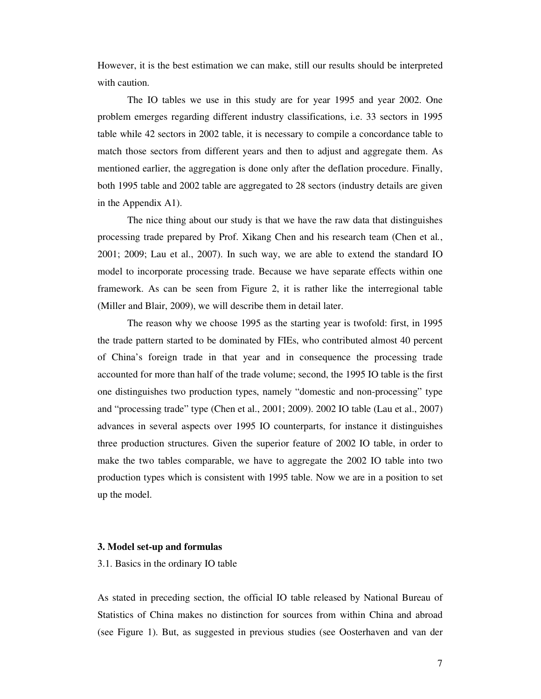However, it is the best estimation we can make, still our results should be interpreted with caution.

The IO tables we use in this study are for year 1995 and year 2002. One problem emerges regarding different industry classifications, i.e. 33 sectors in 1995 table while 42 sectors in 2002 table, it is necessary to compile a concordance table to match those sectors from different years and then to adjust and aggregate them. As mentioned earlier, the aggregation is done only after the deflation procedure. Finally, both 1995 table and 2002 table are aggregated to 28 sectors (industry details are given in the Appendix A1).

The nice thing about our study is that we have the raw data that distinguishes processing trade prepared by Prof. Xikang Chen and his research team (Chen et al*.*, 2001; 2009; Lau et al., 2007). In such way, we are able to extend the standard IO model to incorporate processing trade. Because we have separate effects within one framework. As can be seen from Figure 2, it is rather like the interregional table (Miller and Blair, 2009), we will describe them in detail later.

The reason why we choose 1995 as the starting year is twofold: first, in 1995 the trade pattern started to be dominated by FIEs, who contributed almost 40 percent of China's foreign trade in that year and in consequence the processing trade accounted for more than half of the trade volume; second, the 1995 IO table is the first one distinguishes two production types, namely "domestic and non-processing" type and "processing trade" type (Chen et al., 2001; 2009). 2002 IO table (Lau et al., 2007) advances in several aspects over 1995 IO counterparts, for instance it distinguishes three production structures. Given the superior feature of 2002 IO table, in order to make the two tables comparable, we have to aggregate the 2002 IO table into two production types which is consistent with 1995 table. Now we are in a position to set up the model.

#### **3. Model set-up and formulas**

#### 3.1. Basics in the ordinary IO table

As stated in preceding section, the official IO table released by National Bureau of Statistics of China makes no distinction for sources from within China and abroad (see Figure 1). But, as suggested in previous studies (see Oosterhaven and van der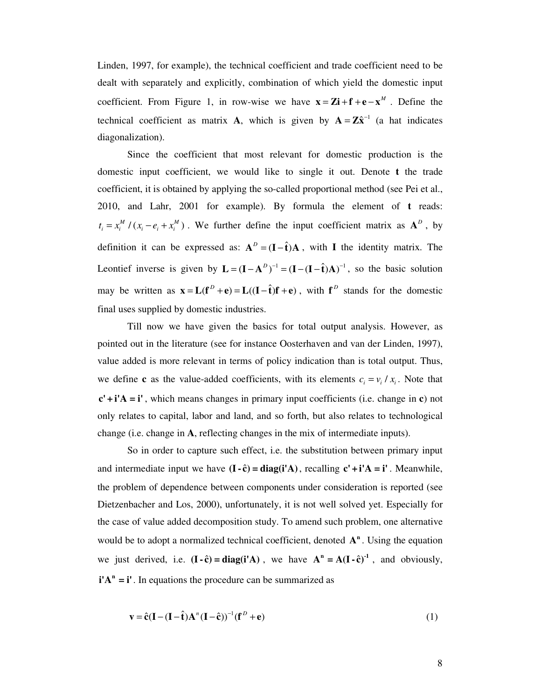Linden, 1997, for example), the technical coefficient and trade coefficient need to be dealt with separately and explicitly, combination of which yield the domestic input coefficient. From Figure 1, in row-wise we have  $\mathbf{x} = \mathbf{Zi} + \mathbf{f} + \mathbf{e} - \mathbf{x}^M$ . Define the technical coefficient as matrix **A**, which is given by  $A = Z\hat{x}^{-1}$  (a hat indicates diagonalization).

Since the coefficient that most relevant for domestic production is the domestic input coefficient, we would like to single it out. Denote **t** the trade coefficient, it is obtained by applying the so-called proportional method (see Pei et al., 2010, and Lahr, 2001 for example). By formula the element of **t** reads:  $t_i = x_i^M / (x_i - e_i + x_i^M)$ . We further define the input coefficient matrix as  $A^D$ , by definition it can be expressed as:  $A^D = (I - \hat{t})A$ , with **I** the identity matrix. The Leontief inverse is given by  $\mathbf{L} = (\mathbf{I} - \mathbf{A}^D)^{-1} = (\mathbf{I} - (\mathbf{I} - \hat{\mathbf{t}})\mathbf{A})^{-1}$ , so the basic solution may be written as  $\mathbf{x} = \mathbf{L}(\mathbf{f}^D + \mathbf{e}) = \mathbf{L}((\mathbf{I} - \hat{\mathbf{t}})\mathbf{f} + \mathbf{e})$ , with  $\mathbf{f}^D$  stands for the domestic final uses supplied by domestic industries.

Till now we have given the basics for total output analysis. However, as pointed out in the literature (see for instance Oosterhaven and van der Linden, 1997), value added is more relevant in terms of policy indication than is total output. Thus, we define **c** as the value-added coefficients, with its elements  $c_i = v_i / x_i$ . Note that **c' + i'A = i'** , which means changes in primary input coefficients (i.e. change in **c**) not only relates to capital, labor and land, and so forth, but also relates to technological change (i.e. change in **A**, reflecting changes in the mix of intermediate inputs).

So in order to capture such effect, i.e. the substitution between primary input and intermediate input we have  $(I - \hat{c}) = diag(i'A)$ , recalling  $c' + i'A = i'$ . Meanwhile, the problem of dependence between components under consideration is reported (see Dietzenbacher and Los, 2000), unfortunately, it is not well solved yet. Especially for the case of value added decomposition study. To amend such problem, one alternative would be to adopt a normalized technical coefficient, denoted  $A<sup>n</sup>$ . Using the equation we just derived, i.e.  $(I - \hat{c}) = diag(i'A)$ , we have  $A^n = A(I - \hat{c})^{-1}$ , and obviously,  $\mathbf{i}'\mathbf{A}^n = \mathbf{i}'$ . In equations the procedure can be summarized as

$$
\mathbf{v} = \hat{\mathbf{c}}(\mathbf{I} - (\mathbf{I} - \hat{\mathbf{t}})\mathbf{A}^n(\mathbf{I} - \hat{\mathbf{c}}))^{-1}(\mathbf{f}^D + \mathbf{e})
$$
(1)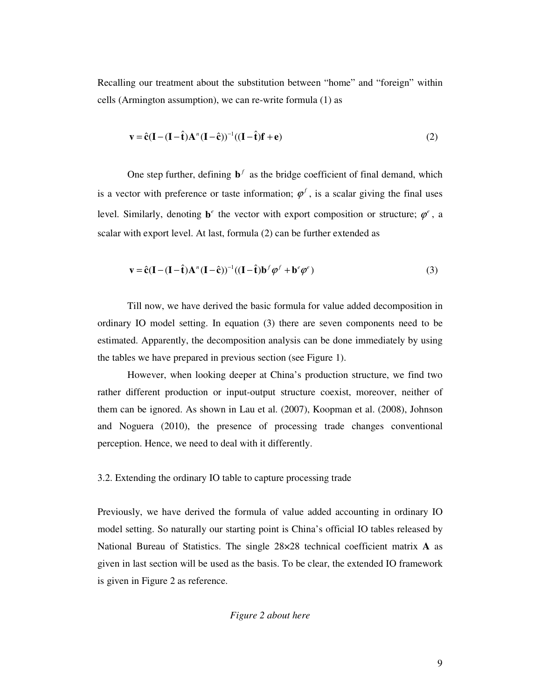Recalling our treatment about the substitution between "home" and "foreign" within cells (Armington assumption), we can re-write formula (1) as

$$
\mathbf{v} = \hat{\mathbf{c}}(\mathbf{I} - (\mathbf{I} - \hat{\mathbf{t}})\mathbf{A}^n(\mathbf{I} - \hat{\mathbf{c}}))^{-1}((\mathbf{I} - \hat{\mathbf{t}})\mathbf{f} + \mathbf{e})
$$
\n(2)

One step further, defining  $\mathbf{b}^f$  as the bridge coefficient of final demand, which is a vector with preference or taste information;  $\varphi^f$ , is a scalar giving the final uses level. Similarly, denoting  $\mathbf{b}^e$  the vector with export composition or structure;  $\varphi^e$ , a scalar with export level. At last, formula (2) can be further extended as

$$
\mathbf{v} = \hat{\mathbf{c}}(\mathbf{I} - (\mathbf{I} - \hat{\mathbf{t}})\mathbf{A}^n(\mathbf{I} - \hat{\mathbf{c}}))^{-1}((\mathbf{I} - \hat{\mathbf{t}})\mathbf{b}^f\boldsymbol{\varphi}^f + \mathbf{b}^e\boldsymbol{\varphi}^e)
$$
(3)

Till now, we have derived the basic formula for value added decomposition in ordinary IO model setting. In equation (3) there are seven components need to be estimated. Apparently, the decomposition analysis can be done immediately by using the tables we have prepared in previous section (see Figure 1).

However, when looking deeper at China's production structure, we find two rather different production or input-output structure coexist, moreover, neither of them can be ignored. As shown in Lau et al. (2007), Koopman et al. (2008), Johnson and Noguera (2010), the presence of processing trade changes conventional perception. Hence, we need to deal with it differently.

#### 3.2. Extending the ordinary IO table to capture processing trade

Previously, we have derived the formula of value added accounting in ordinary IO model setting. So naturally our starting point is China's official IO tables released by National Bureau of Statistics. The single 28×28 technical coefficient matrix **A** as given in last section will be used as the basis. To be clear, the extended IO framework is given in Figure 2 as reference.

#### *Figure 2 about here*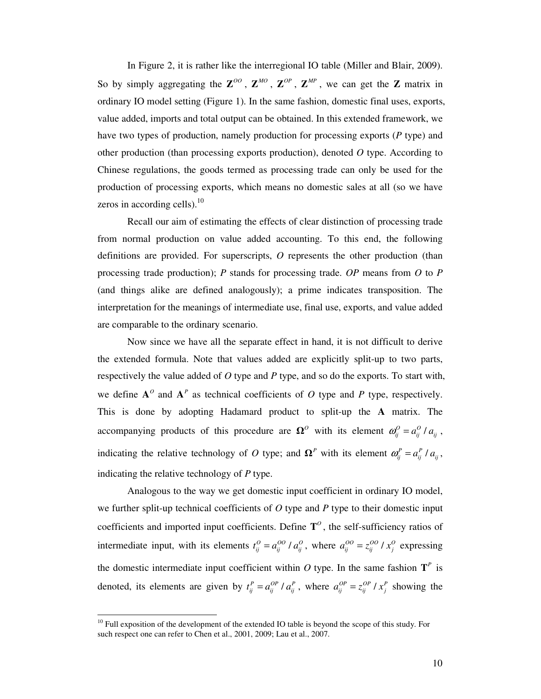In Figure 2, it is rather like the interregional IO table (Miller and Blair, 2009). So by simply aggregating the  $\mathbb{Z}^{OO}$ ,  $\mathbb{Z}^{MO}$ ,  $\mathbb{Z}^{OP}$ ,  $\mathbb{Z}^{MP}$ , we can get the  $\mathbb{Z}$  matrix in ordinary IO model setting (Figure 1). In the same fashion, domestic final uses, exports, value added, imports and total output can be obtained. In this extended framework, we have two types of production, namely production for processing exports (*P* type) and other production (than processing exports production), denoted *O* type. According to Chinese regulations, the goods termed as processing trade can only be used for the production of processing exports, which means no domestic sales at all (so we have zeros in according cells).<sup>10</sup>

Recall our aim of estimating the effects of clear distinction of processing trade from normal production on value added accounting. To this end, the following definitions are provided. For superscripts, *O* represents the other production (than processing trade production); *P* stands for processing trade. *OP* means from *O* to *P* (and things alike are defined analogously); a prime indicates transposition. The interpretation for the meanings of intermediate use, final use, exports, and value added are comparable to the ordinary scenario.

Now since we have all the separate effect in hand, it is not difficult to derive the extended formula. Note that values added are explicitly split-up to two parts, respectively the value added of *O* type and *P* type, and so do the exports. To start with, we define  $A^{\circ}$  and  $A^{\circ}$  as technical coefficients of *O* type and *P* type, respectively. This is done by adopting Hadamard product to split-up the **A** matrix. The accompanying products of this procedure are  $\Omega^0$  with its element  $\omega_{ij}^0 = a_{ij}^0 / a_{ij}$ , indicating the relative technology of O type; and  $\Omega^P$  with its element  $\omega_{ij}^P = a_{ij}^P / a_{ij}$ , indicating the relative technology of *P* type.

Analogous to the way we get domestic input coefficient in ordinary IO model, we further split-up technical coefficients of *O* type and *P* type to their domestic input coefficients and imported input coefficients. Define  $T^{\circ}$ , the self-sufficiency ratios of intermediate input, with its elements  $t_{ij}^O = a_{ij}^{OO} / a_{ij}^O$ , where  $a_{ij}^{OO} = z_{ij}^{OO} / x_j^O$  expressing the domestic intermediate input coefficient within  $O$  type. In the same fashion  $T^P$  is denoted, its elements are given by  $t_{ij}^P = a_{ij}^{OP} / a_{ij}^P$ , where  $a_{ij}^{OP} = z_{ij}^{OP} / x_j^P$  showing the

 $10$  Full exposition of the development of the extended IO table is beyond the scope of this study. For such respect one can refer to Chen et al., 2001, 2009; Lau et al., 2007.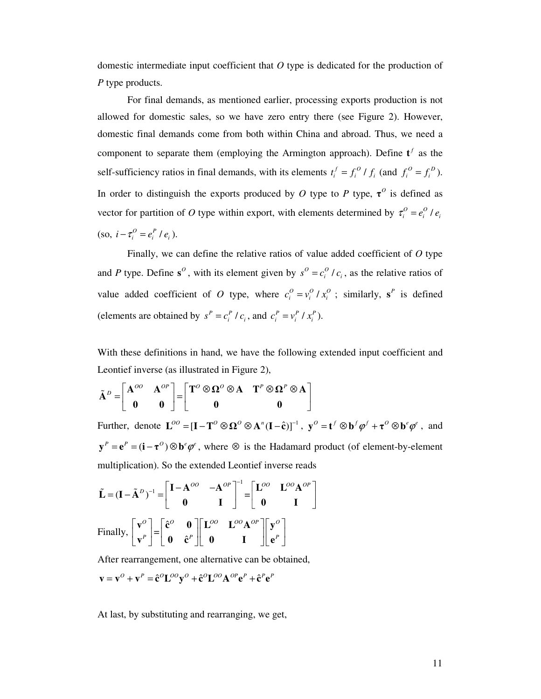domestic intermediate input coefficient that *O* type is dedicated for the production of *P* type products.

For final demands, as mentioned earlier, processing exports production is not allowed for domestic sales, so we have zero entry there (see Figure 2). However, domestic final demands come from both within China and abroad. Thus, we need a component to separate them (employing the Armington approach). Define  $t^f$  as the self-sufficiency ratios in final demands, with its elements  $t_i^f = f_i^o / f_i$  (and  $f_i^o = f_i^o$ ). In order to distinguish the exports produced by *O* type to *P* type,  $\tau^0$  is defined as vector for partition of *O* type within export, with elements determined by  $\tau_i^0 = e_i^0 / e_i$  $(\text{so}, \, i - \tau_i^O = e_i^P / e_i).$ 

Finally, we can define the relative ratios of value added coefficient of *O* type and *P* type. Define  $s^0$ , with its element given by  $s^0 = c_i^0 / c_i$ , as the relative ratios of value added coefficient of *O* type, where  $c_i^0 = v_i^0 / x_i^0$ ; similarly,  $s^P$  is defined (elements are obtained by  $s^P = c_i^P / c_i$ , and  $c_i^P = v_i^P / x_i^P$ ).

With these definitions in hand, we have the following extended input coefficient and Leontief inverse (as illustrated in Figure 2),

$$
\tilde{\mathbf{A}}^D = \begin{bmatrix} \mathbf{A}^{OO} & \mathbf{A}^{OP} \\ \mathbf{0} & \mathbf{0} \end{bmatrix} = \begin{bmatrix} \mathbf{T}^O \otimes \mathbf{\Omega}^O \otimes \mathbf{A} & \mathbf{T}^P \otimes \mathbf{\Omega}^P \otimes \mathbf{A} \\ \mathbf{0} & \mathbf{0} \end{bmatrix}
$$

Further, denote  $\mathbf{L}^{OO} = [\mathbf{I} - \mathbf{T}^O \otimes \mathbf{\Omega}^O \otimes \mathbf{A}^n (\mathbf{I} - \hat{\mathbf{c}})]^{-1}$ ,  $\mathbf{y}^O = \mathbf{t}^f \otimes \mathbf{b}^f \boldsymbol{\varphi}^f + \boldsymbol{\tau}^O \otimes \mathbf{b}^e \boldsymbol{\varphi}^e$ , and  $y^P = e^P = (i - \tau^O) \otimes b^e \varphi^e$ , where  $\otimes$  is the Hadamard product (of element-by-element multiplication). So the extended Leontief inverse reads

$$
\tilde{\mathbf{L}} = (\mathbf{I} - \tilde{\mathbf{A}}^D)^{-1} = \begin{bmatrix} \mathbf{I} - \mathbf{A}^{OO} & -\mathbf{A}^{OP} \\ \mathbf{0} & \mathbf{I} \end{bmatrix}^{-1} = \begin{bmatrix} \mathbf{L}^{OO} & \mathbf{L}^{OO}\mathbf{A}^{OP} \\ \mathbf{0} & \mathbf{I} \end{bmatrix}
$$
  
Finally, 
$$
\begin{bmatrix} \mathbf{v}^O \\ \mathbf{v}^P \end{bmatrix} = \begin{bmatrix} \hat{\mathbf{c}}^O & \mathbf{0} \\ \mathbf{0} & \hat{\mathbf{c}}^P \end{bmatrix} \begin{bmatrix} \mathbf{L}^{OO} & \mathbf{L}^{OO}\mathbf{A}^{OP} \\ \mathbf{0} & \mathbf{I} \end{bmatrix} \begin{bmatrix} \mathbf{y}^O \\ \mathbf{e}^P \end{bmatrix}
$$

After rearrangement, one alternative can be obtained,

$$
\mathbf{v} = \mathbf{v}^{\scriptscriptstyle O} + \mathbf{v}^{\scriptscriptstyle P} = \hat{\mathbf{c}}^{\scriptscriptstyle O} \mathbf{L}^{\scriptscriptstyle O\scriptscriptstyle O} \mathbf{y}^{\scriptscriptstyle O} + \hat{\mathbf{c}}^{\scriptscriptstyle O} \mathbf{L}^{\scriptscriptstyle O\scriptscriptstyle O} \mathbf{A}^{\scriptscriptstyle O\scriptscriptstyle P} \mathbf{e}^{\scriptscriptstyle P} + \hat{\mathbf{c}}^{\scriptscriptstyle P} \mathbf{e}^{\scriptscriptstyle P}
$$

At last, by substituting and rearranging, we get,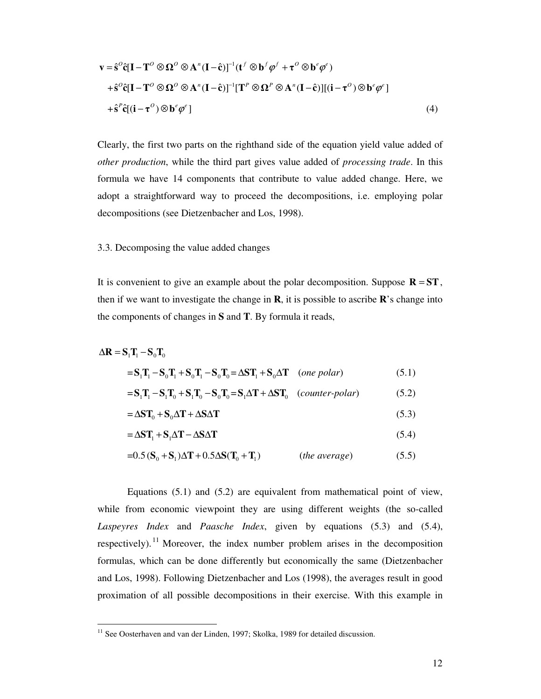$$
\mathbf{v} = \hat{\mathbf{s}}^{\circ} \hat{\mathbf{c}} [\mathbf{I} - \mathbf{T}^{\circ} \otimes \mathbf{\Omega}^{\circ} \otimes \mathbf{A}^n (\mathbf{I} - \hat{\mathbf{c}})]^{-1} (\mathbf{t}^f \otimes \mathbf{b}^f \boldsymbol{\varphi}^f + \mathbf{\tau}^{\circ} \otimes \mathbf{b}^e \boldsymbol{\varphi}^e)
$$
  
+
$$
\hat{\mathbf{s}}^{\circ} \hat{\mathbf{c}} [\mathbf{I} - \mathbf{T}^{\circ} \otimes \mathbf{\Omega}^{\circ} \otimes \mathbf{A}^n (\mathbf{I} - \hat{\mathbf{c}})]^{-1} [\mathbf{T}^P \otimes \mathbf{\Omega}^P \otimes \mathbf{A}^n (\mathbf{I} - \hat{\mathbf{c}})][(\mathbf{i} - \mathbf{\tau}^{\circ}) \otimes \mathbf{b}^e \boldsymbol{\varphi}^e]
$$
  
+
$$
\hat{\mathbf{s}}^P \hat{\mathbf{c}} [(\mathbf{i} - \mathbf{\tau}^{\circ}) \otimes \mathbf{b}^e \boldsymbol{\varphi}^e]
$$
(4)

Clearly, the first two parts on the righthand side of the equation yield value added of *other production*, while the third part gives value added of *processing trade*. In this formula we have 14 components that contribute to value added change. Here, we adopt a straightforward way to proceed the decompositions, i.e. employing polar decompositions (see Dietzenbacher and Los, 1998).

## 3.3. Decomposing the value added changes

It is convenient to give an example about the polar decomposition. Suppose  $\mathbf{R} = \mathbf{ST}$ , then if we want to investigate the change in  $\bf{R}$ , it is possible to ascribe  $\bf{R}'$ 's change into the components of changes in **S** and **T**. By formula it reads,

$$
\Delta \mathbf{R} = \mathbf{S}_1 \mathbf{T}_1 - \mathbf{S}_0 \mathbf{T}_0
$$
  
=  $\mathbf{S}_1 \mathbf{T}_1 - \mathbf{S}_0 \mathbf{T}_1 + \mathbf{S}_0 \mathbf{T}_1 - \mathbf{S}_0 \mathbf{T}_0 = \Delta \mathbf{S} \mathbf{T}_1 + \mathbf{S}_0 \Delta \mathbf{T}$  (one polar)  
=  $\mathbf{S}_1 \mathbf{T}_1 - \mathbf{S}_1 \mathbf{T}_0 + \mathbf{S}_1 \mathbf{T}_0 - \mathbf{S}_0 \mathbf{T}_0 = \mathbf{S}_1 \Delta \mathbf{T} + \Delta \mathbf{S} \mathbf{T}_0$  (counter-polar) (5.2)

$$
=\Delta ST_0 + S_0 \Delta T + \Delta S \Delta T \tag{5.3}
$$

$$
=\Delta ST_1 + S_1 \Delta T - \Delta S \Delta T \tag{5.4}
$$

$$
=0.5\left(\mathbf{S}_0 + \mathbf{S}_1\right)\Delta\mathbf{T} + 0.5\Delta\mathbf{S}(\mathbf{T}_0 + \mathbf{T}_1) \tag{the average} \tag{5.5}
$$

Equations (5.1) and (5.2) are equivalent from mathematical point of view, while from economic viewpoint they are using different weights (the so-called *Laspeyres Index* and *Paasche Index*, given by equations (5.3) and (5.4), respectively).<sup>11</sup> Moreover, the index number problem arises in the decomposition formulas, which can be done differently but economically the same (Dietzenbacher and Los, 1998). Following Dietzenbacher and Los (1998), the averages result in good proximation of all possible decompositions in their exercise. With this example in

 $11$  See Oosterhaven and van der Linden, 1997; Skolka, 1989 for detailed discussion.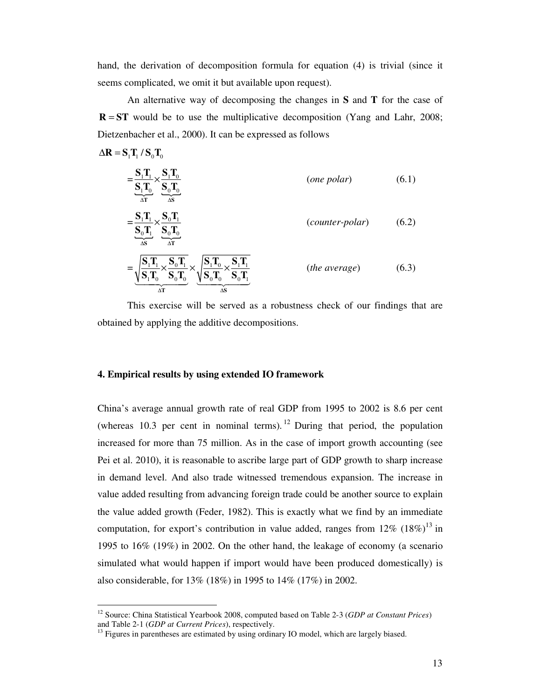hand, the derivation of decomposition formula for equation (4) is trivial (since it seems complicated, we omit it but available upon request).

An alternative way of decomposing the changes in **S** and **T** for the case of  $R = ST$  would be to use the multiplicative decomposition (Yang and Lahr, 2008; Dietzenbacher et al., 2000). It can be expressed as follows

$$
= \frac{\mathbf{S}_{1}\mathbf{T}_{1}}{\mathbf{S}_{1}\mathbf{T}_{0}} \times \frac{\mathbf{S}_{1}\mathbf{T}_{0}}{\mathbf{S}_{0}\mathbf{T}_{0}} \n= \frac{\mathbf{S}_{1}\mathbf{T}_{1}}{\mathbf{S}_{0}\mathbf{T}_{1}} \times \frac{\mathbf{S}_{0}\mathbf{T}_{1}}{\mathbf{S}_{0}\mathbf{T}_{0}} \n= \frac{\mathbf{S}_{1}\mathbf{T}_{1}}{\mathbf{S}_{0}\mathbf{T}_{1}} \times \frac{\mathbf{S}_{0}\mathbf{T}_{1}}{\mathbf{S}_{0}\mathbf{T}_{0}} \n= \sqrt{\frac{\mathbf{S}_{1}\mathbf{T}_{1}}{\mathbf{S}_{1}\mathbf{T}_{0}} \times \frac{\mathbf{S}_{0}\mathbf{T}_{1}}{\mathbf{S}_{0}\mathbf{T}_{0}}} \times \sqrt{\frac{\mathbf{S}_{1}\mathbf{T}_{0}}{\mathbf{S}_{0}\mathbf{T}_{0}} \times \frac{\mathbf{S}_{1}\mathbf{T}_{1}}{\mathbf{S}_{0}\mathbf{T}_{1}}} \qquad \text{(the average)} \qquad (6.3)
$$

This exercise will be served as a robustness check of our findings that are obtained by applying the additive decompositions.

#### **4. Empirical results by using extended IO framework**

 $\Delta R = S \cdot T \cdot / S \cdot T$ 

 $\overline{a}$ 

China's average annual growth rate of real GDP from 1995 to 2002 is 8.6 per cent (whereas 10.3 per cent in nominal terms). <sup>12</sup> During that period, the population increased for more than 75 million. As in the case of import growth accounting (see Pei et al. 2010), it is reasonable to ascribe large part of GDP growth to sharp increase in demand level. And also trade witnessed tremendous expansion. The increase in value added resulting from advancing foreign trade could be another source to explain the value added growth (Feder, 1982). This is exactly what we find by an immediate computation, for export's contribution in value added, ranges from  $12\%$  (18%)<sup>13</sup> in 1995 to 16% (19%) in 2002. On the other hand, the leakage of economy (a scenario simulated what would happen if import would have been produced domestically) is also considerable, for 13% (18%) in 1995 to 14% (17%) in 2002.

<sup>12</sup> Source: China Statistical Yearbook 2008, computed based on Table 2-3 (*GDP at Constant Prices*) and Table 2-1 (*GDP at Current Prices*), respectively.

<sup>&</sup>lt;sup>13</sup> Figures in parentheses are estimated by using ordinary IO model, which are largely biased.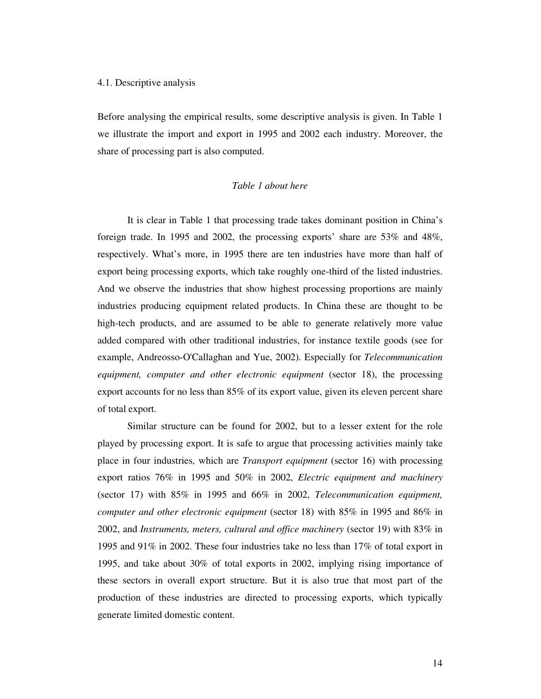#### 4.1. Descriptive analysis

Before analysing the empirical results, some descriptive analysis is given. In Table 1 we illustrate the import and export in 1995 and 2002 each industry. Moreover, the share of processing part is also computed.

#### *Table 1 about here*

It is clear in Table 1 that processing trade takes dominant position in China's foreign trade. In 1995 and 2002, the processing exports' share are 53% and 48%, respectively. What's more, in 1995 there are ten industries have more than half of export being processing exports, which take roughly one-third of the listed industries. And we observe the industries that show highest processing proportions are mainly industries producing equipment related products. In China these are thought to be high-tech products, and are assumed to be able to generate relatively more value added compared with other traditional industries, for instance textile goods (see for example, Andreosso-O'Callaghan and Yue, 2002). Especially for *Telecommunication equipment, computer and other electronic equipment* (sector 18), the processing export accounts for no less than 85% of its export value, given its eleven percent share of total export.

Similar structure can be found for 2002, but to a lesser extent for the role played by processing export. It is safe to argue that processing activities mainly take place in four industries, which are *Transport equipment* (sector 16) with processing export ratios 76% in 1995 and 50% in 2002, *Electric equipment and machinery* (sector 17) with 85% in 1995 and 66% in 2002, *Telecommunication equipment, computer and other electronic equipment* (sector 18) with 85% in 1995 and 86% in 2002, and *Instruments, meters, cultural and office machinery* (sector 19) with 83% in 1995 and 91% in 2002. These four industries take no less than 17% of total export in 1995, and take about 30% of total exports in 2002, implying rising importance of these sectors in overall export structure. But it is also true that most part of the production of these industries are directed to processing exports, which typically generate limited domestic content.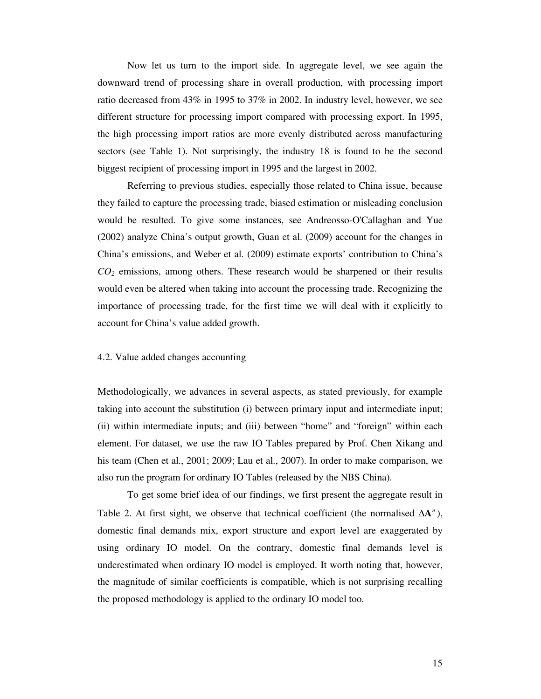Now let us turn to the import side. In aggregate level, we see again the downward trend of processing share in overall production, with processing import ratio decreased from 43% in 1995 to 37% in 2002. In industry level, however, we see different structure for processing import compared with processing export. In 1995, the high processing import ratios are more evenly distributed across manufacturing sectors (see Table 1). Not surprisingly, the industry 18 is found to be the second biggest recipient of processing import in 1995 and the largest in 2002.

Referring to previous studies, especially those related to China issue, because they failed to capture the processing trade, biased estimation or misleading conclusion would be resulted. To give some instances, see Andreosso-O'Callaghan and Yue (2002) analyze China's output growth, Guan et al. (2009) account for the changes in China's emissions, and Weber et al. (2009) estimate exports' contribution to China's *CO<sup>2</sup>* emissions, among others. These research would be sharpened or their results would even be altered when taking into account the processing trade. Recognizing the importance of processing trade, for the first time we will deal with it explicitly to account for China's value added growth.

#### 4.2. Value added changes accounting

Methodologically, we advances in several aspects, as stated previously, for example taking into account the substitution (i) between primary input and intermediate input; (ii) within intermediate inputs; and (iii) between "home" and "foreign" within each element. For dataset, we use the raw IO Tables prepared by Prof. Chen Xikang and his team (Chen et al., 2001; 2009; Lau et al., 2007). In order to make comparison, we also run the program for ordinary IO Tables (released by the NBS China).

To get some brief idea of our findings, we first present the aggregate result in Table 2. At first sight, we observe that technical coefficient (the normalised  $\Delta A^n$ ), domestic final demands mix, export structure and export level are exaggerated by using ordinary IO model. On the contrary, domestic final demands level is underestimated when ordinary IO model is employed. It worth noting that, however, the magnitude of similar coefficients is compatible, which is not surprising recalling the proposed methodology is applied to the ordinary IO model too.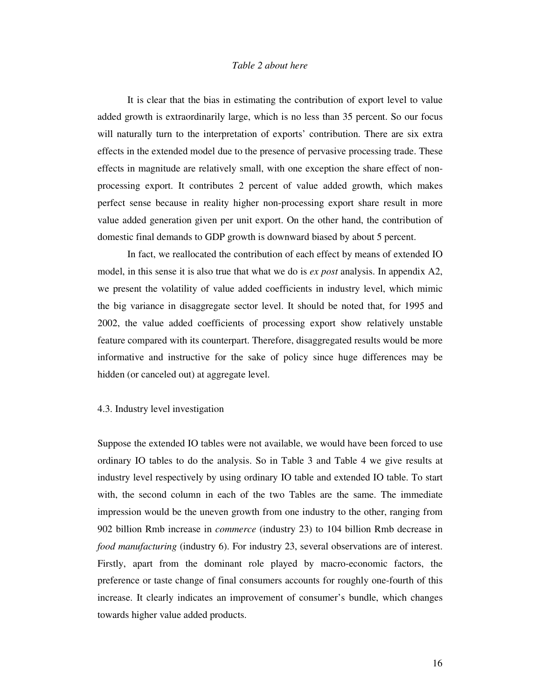### *Table 2 about here*

It is clear that the bias in estimating the contribution of export level to value added growth is extraordinarily large, which is no less than 35 percent. So our focus will naturally turn to the interpretation of exports' contribution. There are six extra effects in the extended model due to the presence of pervasive processing trade. These effects in magnitude are relatively small, with one exception the share effect of nonprocessing export. It contributes 2 percent of value added growth, which makes perfect sense because in reality higher non-processing export share result in more value added generation given per unit export. On the other hand, the contribution of domestic final demands to GDP growth is downward biased by about 5 percent.

In fact, we reallocated the contribution of each effect by means of extended IO model, in this sense it is also true that what we do is *ex post* analysis. In appendix A2, we present the volatility of value added coefficients in industry level, which mimic the big variance in disaggregate sector level. It should be noted that, for 1995 and 2002, the value added coefficients of processing export show relatively unstable feature compared with its counterpart. Therefore, disaggregated results would be more informative and instructive for the sake of policy since huge differences may be hidden (or canceled out) at aggregate level.

#### 4.3. Industry level investigation

Suppose the extended IO tables were not available, we would have been forced to use ordinary IO tables to do the analysis. So in Table 3 and Table 4 we give results at industry level respectively by using ordinary IO table and extended IO table. To start with, the second column in each of the two Tables are the same. The immediate impression would be the uneven growth from one industry to the other, ranging from 902 billion Rmb increase in *commerce* (industry 23) to 104 billion Rmb decrease in *food manufacturing* (industry 6). For industry 23, several observations are of interest. Firstly, apart from the dominant role played by macro-economic factors, the preference or taste change of final consumers accounts for roughly one-fourth of this increase. It clearly indicates an improvement of consumer's bundle, which changes towards higher value added products.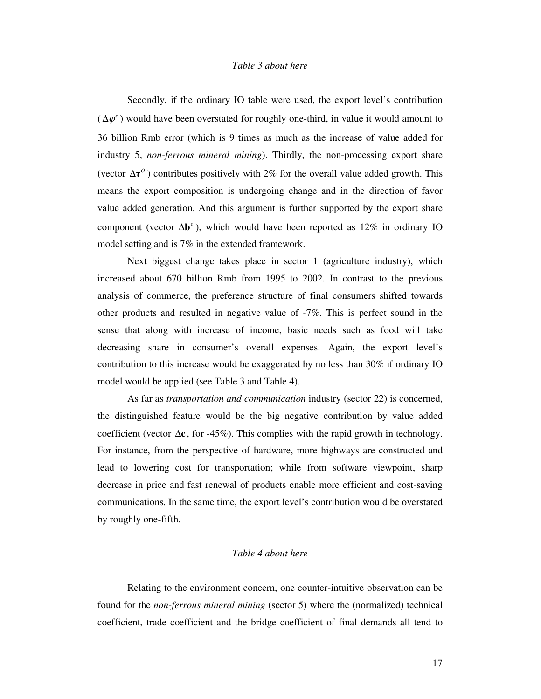### *Table 3 about here*

Secondly, if the ordinary IO table were used, the export level's contribution  $(\Delta \varphi^e)$  would have been overstated for roughly one-third, in value it would amount to 36 billion Rmb error (which is 9 times as much as the increase of value added for industry 5, *non-ferrous mineral mining*). Thirdly, the non-processing export share (vector  $\Delta \tau^0$ ) contributes positively with 2% for the overall value added growth. This means the export composition is undergoing change and in the direction of favor value added generation. And this argument is further supported by the export share component (vector  $\Delta \mathbf{b}^e$ ), which would have been reported as 12% in ordinary IO model setting and is 7% in the extended framework.

Next biggest change takes place in sector 1 (agriculture industry), which increased about 670 billion Rmb from 1995 to 2002. In contrast to the previous analysis of commerce, the preference structure of final consumers shifted towards other products and resulted in negative value of -7%. This is perfect sound in the sense that along with increase of income, basic needs such as food will take decreasing share in consumer's overall expenses. Again, the export level's contribution to this increase would be exaggerated by no less than 30% if ordinary IO model would be applied (see Table 3 and Table 4).

As far as *transportation and communication* industry (sector 22) is concerned, the distinguished feature would be the big negative contribution by value added coefficient (vector ∆**c** , for -45%). This complies with the rapid growth in technology. For instance, from the perspective of hardware, more highways are constructed and lead to lowering cost for transportation; while from software viewpoint, sharp decrease in price and fast renewal of products enable more efficient and cost-saving communications. In the same time, the export level's contribution would be overstated by roughly one-fifth.

## *Table 4 about here*

Relating to the environment concern, one counter-intuitive observation can be found for the *non-ferrous mineral mining* (sector 5) where the (normalized) technical coefficient, trade coefficient and the bridge coefficient of final demands all tend to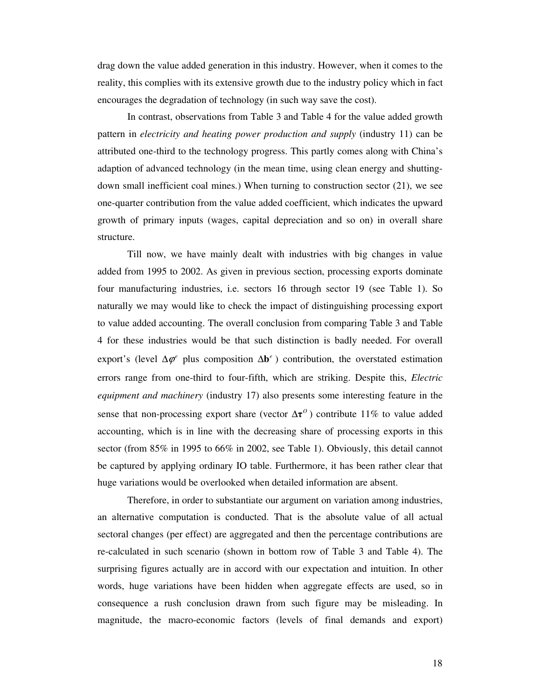drag down the value added generation in this industry. However, when it comes to the reality, this complies with its extensive growth due to the industry policy which in fact encourages the degradation of technology (in such way save the cost).

In contrast, observations from Table 3 and Table 4 for the value added growth pattern in *electricity and heating power production and supply* (industry 11) can be attributed one-third to the technology progress. This partly comes along with China's adaption of advanced technology (in the mean time, using clean energy and shuttingdown small inefficient coal mines.) When turning to construction sector (21), we see one-quarter contribution from the value added coefficient, which indicates the upward growth of primary inputs (wages, capital depreciation and so on) in overall share structure.

Till now, we have mainly dealt with industries with big changes in value added from 1995 to 2002. As given in previous section, processing exports dominate four manufacturing industries, i.e. sectors 16 through sector 19 (see Table 1). So naturally we may would like to check the impact of distinguishing processing export to value added accounting. The overall conclusion from comparing Table 3 and Table 4 for these industries would be that such distinction is badly needed. For overall export's (level  $\Delta \varphi^e$  plus composition  $\Delta \mathbf{b}^e$ ) contribution, the overstated estimation errors range from one-third to four-fifth, which are striking. Despite this, *Electric equipment and machinery* (industry 17) also presents some interesting feature in the sense that non-processing export share (vector  $\Delta \tau^0$ ) contribute 11% to value added accounting, which is in line with the decreasing share of processing exports in this sector (from 85% in 1995 to 66% in 2002, see Table 1). Obviously, this detail cannot be captured by applying ordinary IO table. Furthermore, it has been rather clear that huge variations would be overlooked when detailed information are absent.

Therefore, in order to substantiate our argument on variation among industries, an alternative computation is conducted. That is the absolute value of all actual sectoral changes (per effect) are aggregated and then the percentage contributions are re-calculated in such scenario (shown in bottom row of Table 3 and Table 4). The surprising figures actually are in accord with our expectation and intuition. In other words, huge variations have been hidden when aggregate effects are used, so in consequence a rush conclusion drawn from such figure may be misleading. In magnitude, the macro-economic factors (levels of final demands and export)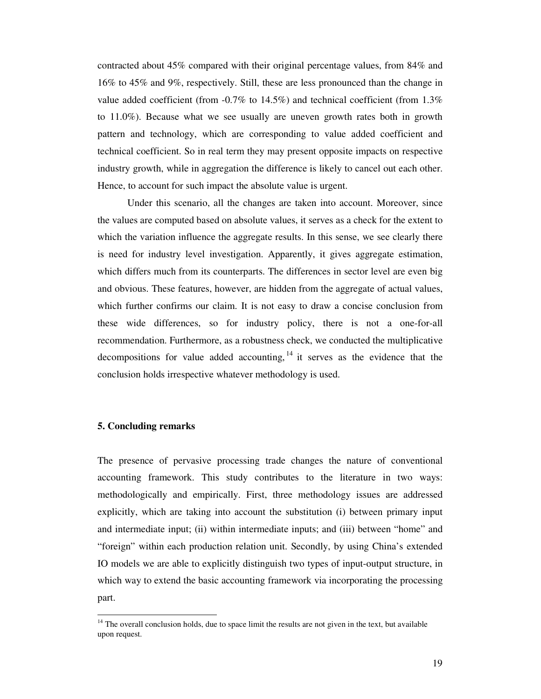contracted about 45% compared with their original percentage values, from 84% and 16% to 45% and 9%, respectively. Still, these are less pronounced than the change in value added coefficient (from  $-0.7\%$  to  $14.5\%$ ) and technical coefficient (from  $1.3\%$ to 11.0%). Because what we see usually are uneven growth rates both in growth pattern and technology, which are corresponding to value added coefficient and technical coefficient. So in real term they may present opposite impacts on respective industry growth, while in aggregation the difference is likely to cancel out each other. Hence, to account for such impact the absolute value is urgent.

Under this scenario, all the changes are taken into account. Moreover, since the values are computed based on absolute values, it serves as a check for the extent to which the variation influence the aggregate results. In this sense, we see clearly there is need for industry level investigation. Apparently, it gives aggregate estimation, which differs much from its counterparts. The differences in sector level are even big and obvious. These features, however, are hidden from the aggregate of actual values, which further confirms our claim. It is not easy to draw a concise conclusion from these wide differences, so for industry policy, there is not a one-for-all recommendation. Furthermore, as a robustness check, we conducted the multiplicative decompositions for value added accounting,  $^{14}$  it serves as the evidence that the conclusion holds irrespective whatever methodology is used.

#### **5. Concluding remarks**

 $\overline{a}$ 

The presence of pervasive processing trade changes the nature of conventional accounting framework. This study contributes to the literature in two ways: methodologically and empirically. First, three methodology issues are addressed explicitly, which are taking into account the substitution (i) between primary input and intermediate input; (ii) within intermediate inputs; and (iii) between "home" and "foreign" within each production relation unit. Secondly, by using China's extended IO models we are able to explicitly distinguish two types of input-output structure, in which way to extend the basic accounting framework via incorporating the processing part.

 $14$  The overall conclusion holds, due to space limit the results are not given in the text, but available upon request.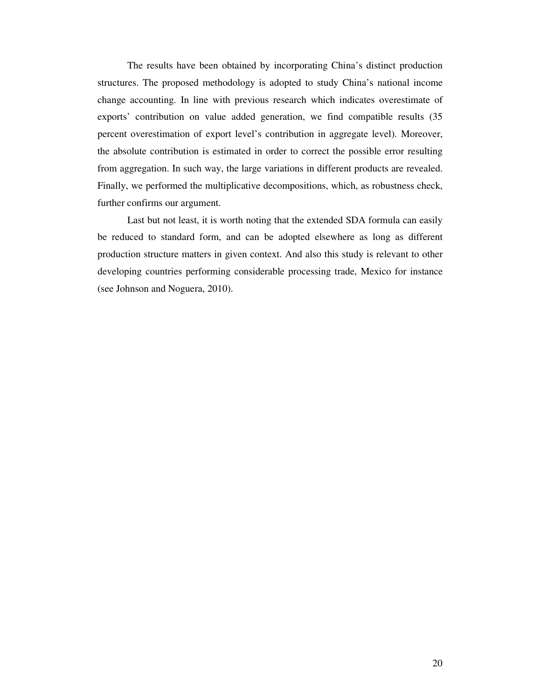The results have been obtained by incorporating China's distinct production structures. The proposed methodology is adopted to study China's national income change accounting. In line with previous research which indicates overestimate of exports' contribution on value added generation, we find compatible results (35 percent overestimation of export level's contribution in aggregate level). Moreover, the absolute contribution is estimated in order to correct the possible error resulting from aggregation. In such way, the large variations in different products are revealed. Finally, we performed the multiplicative decompositions, which, as robustness check, further confirms our argument.

Last but not least, it is worth noting that the extended SDA formula can easily be reduced to standard form, and can be adopted elsewhere as long as different production structure matters in given context. And also this study is relevant to other developing countries performing considerable processing trade, Mexico for instance (see Johnson and Noguera, 2010).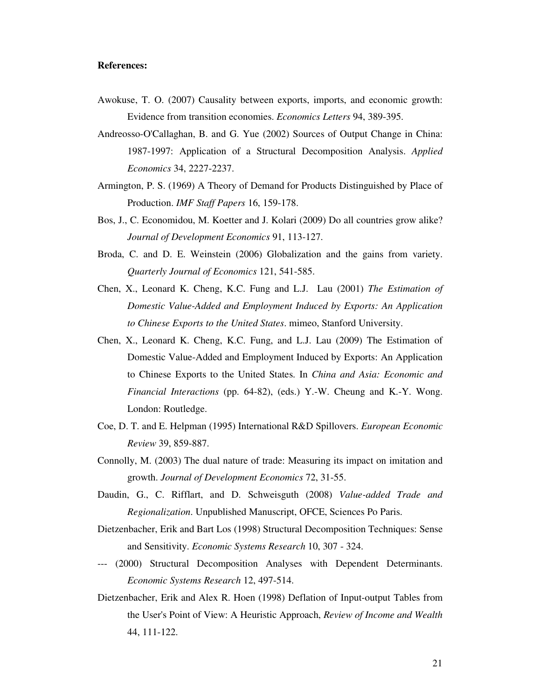#### **References:**

- Awokuse, T. O. (2007) Causality between exports, imports, and economic growth: Evidence from transition economies. *Economics Letters* 94, 389-395.
- Andreosso-O'Callaghan, B. and G. Yue (2002) Sources of Output Change in China: 1987-1997: Application of a Structural Decomposition Analysis. *Applied Economics* 34, 2227-2237.
- Armington, P. S. (1969) A Theory of Demand for Products Distinguished by Place of Production. *IMF Staff Papers* 16, 159-178.
- Bos, J., C. Economidou, M. Koetter and J. Kolari (2009) Do all countries grow alike? *Journal of Development Economics* 91, 113-127.
- Broda, C. and D. E. Weinstein (2006) Globalization and the gains from variety. *Quarterly Journal of Economics* 121, 541-585.
- Chen, X., Leonard K. Cheng, K.C. Fung and L.J. Lau (2001) *The Estimation of Domestic Value-Added and Employment Induced by Exports: An Application to Chinese Exports to the United States*. mimeo, Stanford University.
- Chen, X., Leonard K. Cheng, K.C. Fung, and L.J. Lau (2009) The Estimation of Domestic Value-Added and Employment Induced by Exports: An Application to Chinese Exports to the United States. In *China and Asia: Economic and Financial Interactions* (pp. 64-82), (eds.) Y.-W. Cheung and K.-Y. Wong. London: Routledge.
- Coe, D. T. and E. Helpman (1995) International R&D Spillovers. *European Economic Review* 39, 859-887.
- Connolly, M. (2003) The dual nature of trade: Measuring its impact on imitation and growth. *Journal of Development Economics* 72, 31-55.
- Daudin, G., C. Rifflart, and D. Schweisguth (2008) *Value-added Trade and Regionalization*. Unpublished Manuscript, OFCE, Sciences Po Paris.
- Dietzenbacher, Erik and Bart Los (1998) Structural Decomposition Techniques: Sense and Sensitivity. *Economic Systems Research* 10, 307 - 324.
- --- (2000) Structural Decomposition Analyses with Dependent Determinants. *Economic Systems Research* 12, 497-514.
- Dietzenbacher, Erik and Alex R. Hoen (1998) Deflation of Input-output Tables from the User's Point of View: A Heuristic Approach, *Review of Income and Wealth* 44, 111-122.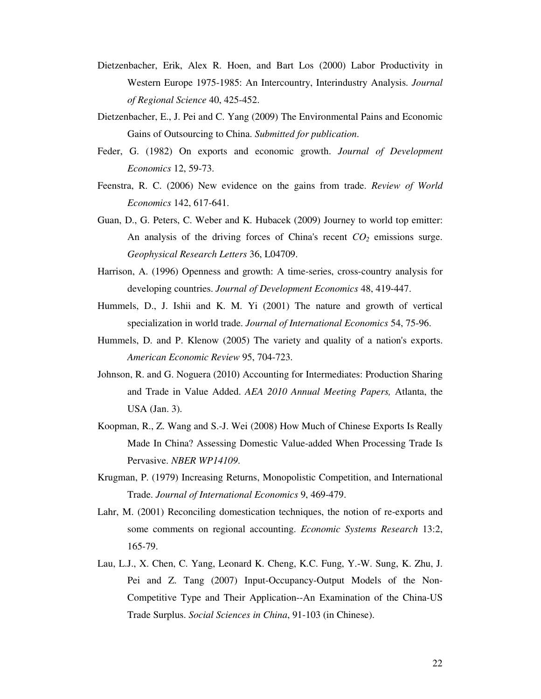- Dietzenbacher, Erik, Alex R. Hoen, and Bart Los (2000) Labor Productivity in Western Europe 1975-1985: An Intercountry, Interindustry Analysis. *Journal of Regional Science* 40, 425-452.
- Dietzenbacher, E., J. Pei and C. Yang (2009) The Environmental Pains and Economic Gains of Outsourcing to China. *Submitted for publication*.
- Feder, G. (1982) On exports and economic growth. *Journal of Development Economics* 12, 59-73.
- Feenstra, R. C. (2006) New evidence on the gains from trade. *Review of World Economics* 142, 617-641.
- Guan, D., G. Peters, C. Weber and K. Hubacek (2009) Journey to world top emitter: An analysis of the driving forces of China's recent *CO2* emissions surge. *Geophysical Research Letters* 36, L04709.
- Harrison, A. (1996) Openness and growth: A time-series, cross-country analysis for developing countries. *Journal of Development Economics* 48, 419-447.
- Hummels, D., J. Ishii and K. M. Yi (2001) The nature and growth of vertical specialization in world trade. *Journal of International Economics* 54, 75-96.
- Hummels, D. and P. Klenow (2005) The variety and quality of a nation's exports. *American Economic Review* 95, 704-723.
- Johnson, R. and G. Noguera (2010) Accounting for Intermediates: Production Sharing and Trade in Value Added. *AEA 2010 Annual Meeting Papers,* Atlanta, the USA (Jan. 3).
- Koopman, R., Z. Wang and S.-J. Wei (2008) How Much of Chinese Exports Is Really Made In China? Assessing Domestic Value-added When Processing Trade Is Pervasive. *NBER WP14109*.
- Krugman, P. (1979) Increasing Returns, Monopolistic Competition, and International Trade. *Journal of International Economics* 9, 469-479.
- Lahr, M. (2001) Reconciling domestication techniques, the notion of re-exports and some comments on regional accounting. *Economic Systems Research* 13:2, 165-79.
- Lau, L.J., X. Chen, C. Yang, Leonard K. Cheng, K.C. Fung, Y.-W. Sung, K. Zhu, J. Pei and Z. Tang (2007) Input-Occupancy-Output Models of the Non-Competitive Type and Their Application--An Examination of the China-US Trade Surplus. *Social Sciences in China*, 91-103 (in Chinese).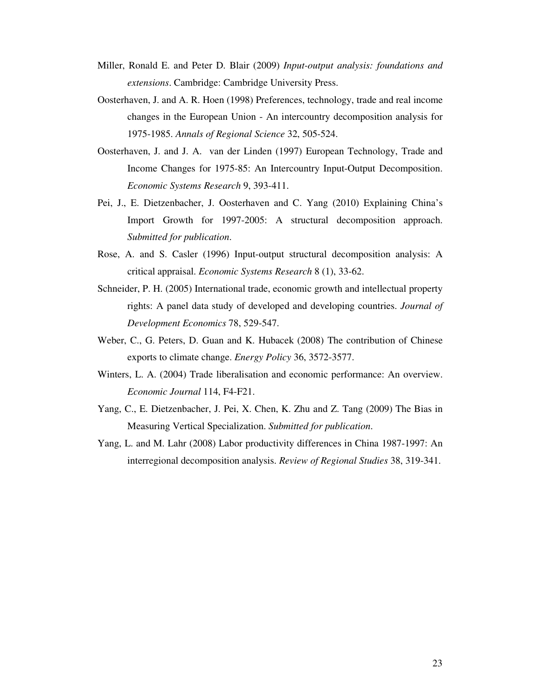- Miller, Ronald E. and Peter D. Blair (2009) *Input-output analysis: foundations and extensions*. Cambridge: Cambridge University Press.
- Oosterhaven, J. and A. R. Hoen (1998) Preferences, technology, trade and real income changes in the European Union - An intercountry decomposition analysis for 1975-1985. *Annals of Regional Science* 32, 505-524.
- Oosterhaven, J. and J. A. van der Linden (1997) European Technology, Trade and Income Changes for 1975-85: An Intercountry Input-Output Decomposition. *Economic Systems Research* 9, 393-411.
- Pei, J., E. Dietzenbacher, J. Oosterhaven and C. Yang (2010) Explaining China's Import Growth for 1997-2005: A structural decomposition approach. *Submitted for publication*.
- Rose, A. and S. Casler (1996) Input-output structural decomposition analysis: A critical appraisal. *Economic Systems Research* 8 (1), 33-62.
- Schneider, P. H. (2005) International trade, economic growth and intellectual property rights: A panel data study of developed and developing countries. *Journal of Development Economics* 78, 529-547.
- Weber, C., G. Peters, D. Guan and K. Hubacek (2008) The contribution of Chinese exports to climate change. *Energy Policy* 36, 3572-3577.
- Winters, L. A. (2004) Trade liberalisation and economic performance: An overview. *Economic Journal* 114, F4-F21.
- Yang, C., E. Dietzenbacher, J. Pei, X. Chen, K. Zhu and Z. Tang (2009) The Bias in Measuring Vertical Specialization. *Submitted for publication*.
- Yang, L. and M. Lahr (2008) Labor productivity differences in China 1987-1997: An interregional decomposition analysis. *Review of Regional Studies* 38, 319-341.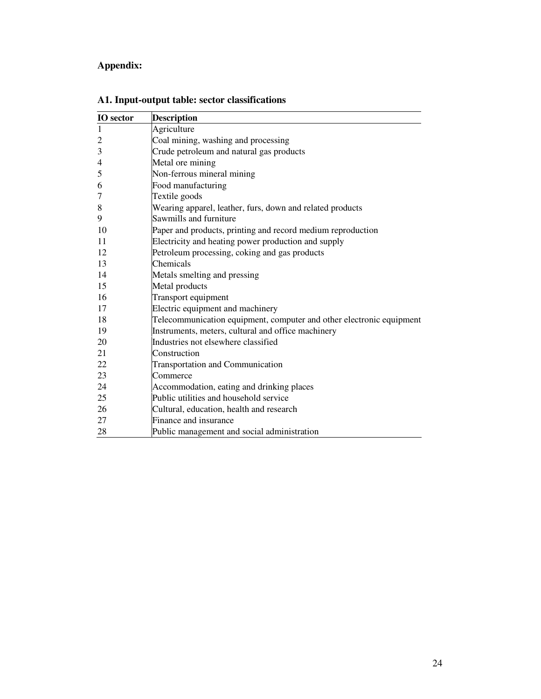# **Appendix:**

| <b>IO</b> sector | <b>Description</b>                                                   |
|------------------|----------------------------------------------------------------------|
| 1                | Agriculture                                                          |
| $\overline{c}$   | Coal mining, washing and processing                                  |
| 3                | Crude petroleum and natural gas products                             |
| 4                | Metal ore mining                                                     |
| 5                | Non-ferrous mineral mining                                           |
| 6                | Food manufacturing                                                   |
| 7                | Textile goods                                                        |
| 8                | Wearing apparel, leather, furs, down and related products            |
| 9                | Sawmills and furniture                                               |
| 10               | Paper and products, printing and record medium reproduction          |
| 11               | Electricity and heating power production and supply                  |
| 12               | Petroleum processing, coking and gas products                        |
| 13               | Chemicals                                                            |
| 14               | Metals smelting and pressing                                         |
| 15               | Metal products                                                       |
| 16               | Transport equipment                                                  |
| 17               | Electric equipment and machinery                                     |
| 18               | Telecommunication equipment, computer and other electronic equipment |
| 19               | Instruments, meters, cultural and office machinery                   |
| 20               | Industries not elsewhere classified                                  |
| 21               | Construction                                                         |
| 22               | Transportation and Communication                                     |
| 23               | Commerce                                                             |
| 24               | Accommodation, eating and drinking places                            |
| 25               | Public utilities and household service                               |
| 26               | Cultural, education, health and research                             |
| 27               | Finance and insurance                                                |
| 28               | Public management and social administration                          |

# **A1. Input-output table: sector classifications**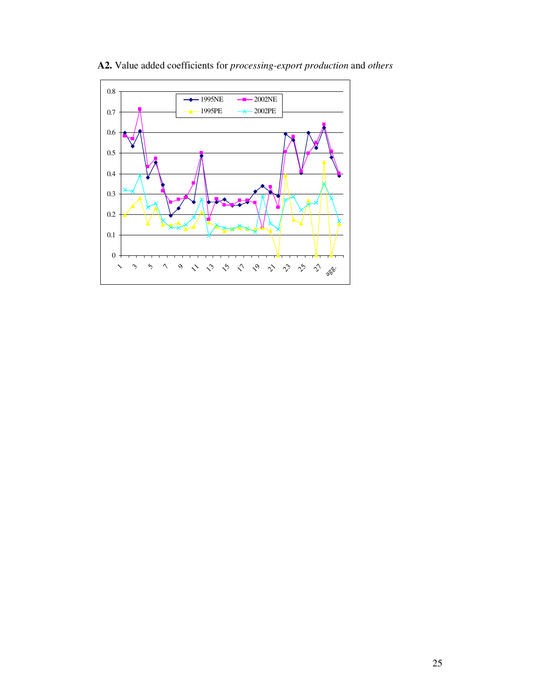

**A2.** Value added coefficients for *processing-export production* and *others*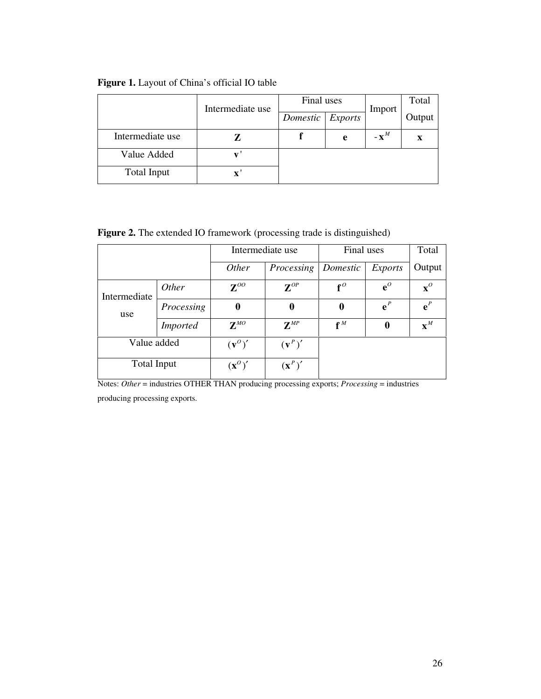|                  | Intermediate use | Final uses |                | Import          | Total  |  |
|------------------|------------------|------------|----------------|-----------------|--------|--|
|                  |                  | Domestic   | <b>Exports</b> |                 | Output |  |
| Intermediate use |                  |            | e              | $-\mathbf{X}^M$ | X      |  |
| Value Added      |                  |            |                |                 |        |  |
| Total Input      | X                |            |                |                 |        |  |

# **Figure 1.** Layout of China's official IO table

Figure 2. The extended IO framework (processing trade is distinguished)

|                     |                 |                                                | Intermediate use  | Final uses       | Total                            |                |  |
|---------------------|-----------------|------------------------------------------------|-------------------|------------------|----------------------------------|----------------|--|
|                     |                 | Other                                          | Processing        | Domestic         | <b>Exports</b>                   | Output         |  |
| Intermediate<br>use | <i>Other</i>    | $\mathbf{Z}^{OO}$                              | $\mathbf{Z}^{OP}$ | $f^{\theta}$     | ${\bf e}^{\scriptscriptstyle O}$ | $\mathbf{x}^o$ |  |
|                     | Processing      | 0                                              | $\bf{0}$          | $\boldsymbol{0}$ | $e^{P}$                          | ${\bf e}^P$    |  |
|                     | <i>Imported</i> | $Z^{MO}$                                       | $Z^{MP}$          | $f^M$            | $\bf{0}$                         | $\mathbf{x}^M$ |  |
| Value added         |                 | $(v^{\circ})'$                                 | $(\mathbf{v}^P)'$ |                  |                                  |                |  |
| <b>Total Input</b>  |                 | $(\mathbf{x}^{\scriptscriptstyle O})^{\prime}$ | $(\mathbf{x}^P)'$ |                  |                                  |                |  |

Notes: *Other* = industries OTHER THAN producing processing exports; *Processing* = industries

producing processing exports.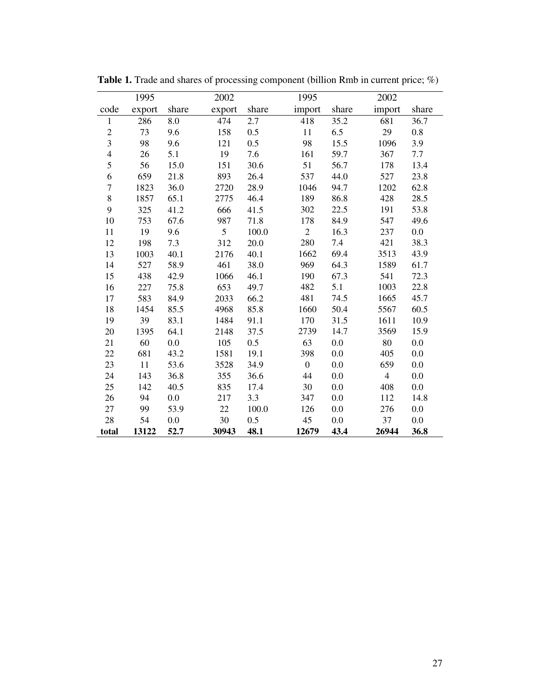|                          | 1995   |       | 2002   |       | 1995           |       | 2002           |       |
|--------------------------|--------|-------|--------|-------|----------------|-------|----------------|-------|
| code                     | export | share | export | share | import         | share | import         | share |
| $\mathbf{1}$             | 286    | 8.0   | 474    | 2.7   | 418            | 35.2  | 681            | 36.7  |
| $\mathfrak{2}$           | 73     | 9.6   | 158    | 0.5   | 11             | 6.5   | 29             | 0.8   |
| $\overline{\mathbf{3}}$  | 98     | 9.6   | 121    | 0.5   | 98             | 15.5  | 1096           | 3.9   |
| $\overline{\mathcal{L}}$ | 26     | 5.1   | 19     | 7.6   | 161            | 59.7  | 367            | 7.7   |
| 5                        | 56     | 15.0  | 151    | 30.6  | 51             | 56.7  | 178            | 13.4  |
| 6                        | 659    | 21.8  | 893    | 26.4  | 537            | 44.0  | 527            | 23.8  |
| $\boldsymbol{7}$         | 1823   | 36.0  | 2720   | 28.9  | 1046           | 94.7  | 1202           | 62.8  |
| $\bf 8$                  | 1857   | 65.1  | 2775   | 46.4  | 189            | 86.8  | 428            | 28.5  |
| 9                        | 325    | 41.2  | 666    | 41.5  | 302            | 22.5  | 191            | 53.8  |
| 10                       | 753    | 67.6  | 987    | 71.8  | 178            | 84.9  | 547            | 49.6  |
| 11                       | 19     | 9.6   | 5      | 100.0 | $\overline{2}$ | 16.3  | 237            | 0.0   |
| 12                       | 198    | 7.3   | 312    | 20.0  | 280            | 7.4   | 421            | 38.3  |
| 13                       | 1003   | 40.1  | 2176   | 40.1  | 1662           | 69.4  | 3513           | 43.9  |
| 14                       | 527    | 58.9  | 461    | 38.0  | 969            | 64.3  | 1589           | 61.7  |
| 15                       | 438    | 42.9  | 1066   | 46.1  | 190            | 67.3  | 541            | 72.3  |
| 16                       | 227    | 75.8  | 653    | 49.7  | 482            | 5.1   | 1003           | 22.8  |
| 17                       | 583    | 84.9  | 2033   | 66.2  | 481            | 74.5  | 1665           | 45.7  |
| 18                       | 1454   | 85.5  | 4968   | 85.8  | 1660           | 50.4  | 5567           | 60.5  |
| 19                       | 39     | 83.1  | 1484   | 91.1  | 170            | 31.5  | 1611           | 10.9  |
| 20                       | 1395   | 64.1  | 2148   | 37.5  | 2739           | 14.7  | 3569           | 15.9  |
| 21                       | 60     | 0.0   | 105    | 0.5   | 63             | 0.0   | 80             | 0.0   |
| 22                       | 681    | 43.2  | 1581   | 19.1  | 398            | 0.0   | 405            | 0.0   |
| 23                       | 11     | 53.6  | 3528   | 34.9  | $\overline{0}$ | 0.0   | 659            | 0.0   |
| 24                       | 143    | 36.8  | 355    | 36.6  | 44             | 0.0   | $\overline{4}$ | 0.0   |
| 25                       | 142    | 40.5  | 835    | 17.4  | 30             | 0.0   | 408            | 0.0   |
| 26                       | 94     | 0.0   | 217    | 3.3   | 347            | 0.0   | 112            | 14.8  |
| 27                       | 99     | 53.9  | 22     | 100.0 | 126            | 0.0   | 276            | 0.0   |
| 28                       | 54     | 0.0   | 30     | 0.5   | 45             | 0.0   | 37             | 0.0   |
| total                    | 13122  | 52.7  | 30943  | 48.1  | 12679          | 43.4  | 26944          | 36.8  |

**Table 1.** Trade and shares of processing component (billion Rmb in current price; %)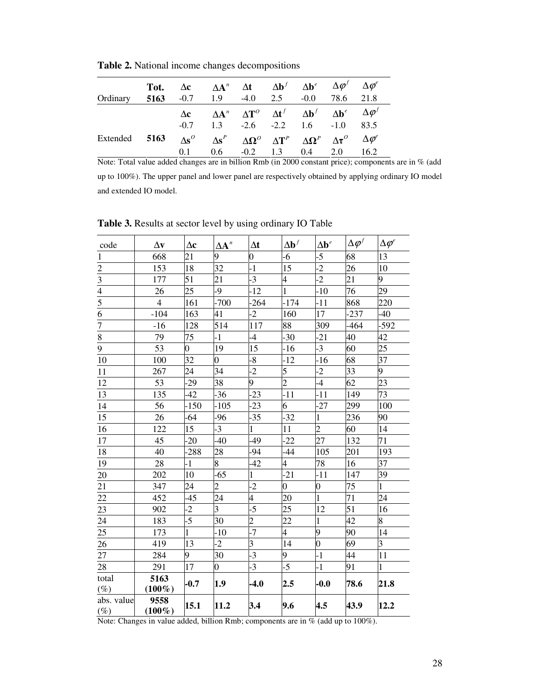|               | Tot. |     | $\Delta c$ $\Delta A^n$ $\Delta t$ $\Delta b^f$ $\Delta b^e$ $\Delta \varphi^I$ $\Delta \varphi^e$           |  |                         |                   |
|---------------|------|-----|--------------------------------------------------------------------------------------------------------------|--|-------------------------|-------------------|
| Ordinary      |      |     | 5163 $-0.7$ 1.9 $-4.0$ 2.5 $-0.0$ 78.6 21.8                                                                  |  |                         |                   |
|               |      |     | $\Delta c$ $\Delta A^n$ $\Delta T^0$ $\Delta t^f$ $\Delta b^f$ $\Delta b^e$ $\Delta \varphi^f$               |  |                         |                   |
|               |      |     | $-0.7$ 1.3 $-2.6$ $-2.2$ 1.6 $-1.0$ 83.5                                                                     |  |                         |                   |
| Extended 5163 |      |     | $\Delta s^{\circ}$ $\Delta s^P$ $\Delta \Omega^{\circ}$ $\Delta T^P$ $\Delta \Omega^P$ $\Delta \tau^{\circ}$ |  |                         | $\Delta\varphi^e$ |
|               |      | 0.1 | 0.6                                                                                                          |  | $-0.2$ 1.3 0.4 2.0 16.2 |                   |

**Table 2.** National income changes decompositions

Note: Total value added changes are in billion Rmb (in 2000 constant price); components are in % (add up to 100%). The upper panel and lower panel are respectively obtained by applying ordinary IO model and extended IO model.

| code                 | $\Delta v$        | $\Delta c$     | $\Delta\textbf{A}^n$    | $\Delta t$              | $\Delta \mathbf{b}^f$    | $\Delta \mathbf{b}^e$ | $\Delta \boldsymbol \varphi^f$ | $\Delta \varphi^e$ |
|----------------------|-------------------|----------------|-------------------------|-------------------------|--------------------------|-----------------------|--------------------------------|--------------------|
| $\mathbf{1}$         | 668               | 21             | 9                       | $\overline{0}$          | $-6$                     | $-5$                  | 68                             | 13                 |
| $\overline{2}$       | 153               | 18             | 32                      | $-1$                    | 15                       | $\overline{2}$        | 26                             | 10                 |
|                      | 177               | 51             | 21                      | $-3$                    | 4                        | $-2$                  | 21                             | 9                  |
| $\frac{3}{4}$        | 26                | 25             | -9                      | $-12$                   | 1                        | $-10$                 | 76                             | 29                 |
|                      | $\overline{4}$    | 161            | $-700$                  | $-264$                  | $-174$                   | $-11$                 | 868                            | 220                |
| $\overline{6}$       | $-104$            | 163            | 41                      | $-2$                    | 160                      | 17                    | $-237$                         | $-40$              |
| $\overline{7}$       | $-16$             | 128            | 514                     | 117                     | 88                       | 309                   | $-464$                         | $-592$             |
| $\overline{\bf 8}$   | 79                | 75             | $-1$                    | $-4$                    | $-30$                    | $-21$                 | 40                             | 42                 |
| $\overline{9}$       | 53                | $\overline{0}$ | 19                      | 15                      | $-16$                    | $-3$                  | 60                             | 25                 |
| 10                   | 100               | 32             | $\overline{0}$          | $-8$                    | $-12$                    | $-16$                 | 68                             | 37                 |
| 11                   | 267               | 24             | 34                      | $-2$                    | 5                        | $-2$                  | 33                             | 9                  |
| 12                   | 53                | -29            | 38                      | 9                       | $\overline{c}$           | $-4$                  | 62                             | 23                 |
| 13                   | 135               | $-42$          | $-36$                   | $-23$                   | $-11$                    | $-11$                 | 149                            | 73                 |
| 14                   | 56                | -150           | $-105$                  | $-23$                   | 6                        | $-27$                 | 299                            | 100                |
| 15                   | 26                | $-64$          | $-96$                   | 35                      | $-32$                    | $\mathbf{1}$          | 236                            | 90                 |
| 16                   | 122               | 15             | $-3$                    | 1                       | 11                       | $\overline{2}$        | 60                             | 14                 |
| 17                   | 45                | $-20$          | -40                     | 49                      | $-22$                    | 27                    | 132                            | 71                 |
| 18                   | 40                | $-288$         | 28                      | -94                     | $-44$                    | 105                   | 201                            | 193                |
| 19                   | 28                | $-1$           | 8                       | $-42$                   | $\overline{\mathcal{A}}$ | 78                    | 16                             | 37                 |
| 20                   | 202               | 10             | $-65$                   | 1                       | $-21$                    | $-11$                 | 147                            | 39                 |
| 21                   | 347               | 24             | $\overline{2}$          | $-2$                    | $\overline{0}$           | $\overline{0}$        | 75                             | 1                  |
| 22                   | 452               | $-45$          | 24                      | $\overline{4}$          | 20                       | $\mathbf{1}$          | 71                             | 24                 |
| 23                   | 902               | $-2$           | $\overline{\mathbf{3}}$ | $\overline{-5}$         | 25                       | 12                    | 51                             | 16                 |
| 24                   | 183               | $-5$           | 30                      | $\overline{c}$          | 22                       | 1                     | 42                             | 8                  |
| 25                   | 173               | 1              | $-10$                   | $-7$                    | $\overline{4}$           | 9                     | 90                             | 14                 |
| 26                   | 419               | 13             | $-2$                    | $\overline{\mathbf{3}}$ | 14                       | $\overline{0}$        | 69                             | 3                  |
| 27                   | 284               | 9              | 30                      | $-3$                    | 9                        | $-1$                  | 44                             | 11                 |
| $28\,$               | 291               | 17             | $\overline{0}$          | $-3$                    | $-5$                     | $-1$                  | 91                             | $\mathbf{1}$       |
| total<br>$(\%)$      | 5163<br>$(100\%)$ | $-0.7$         | 1.9                     | $-4.0$                  | 2.5                      | $-0.0$                | 78.6                           | 21.8               |
| abs. value<br>$(\%)$ | 9558<br>$(100\%)$ | 15.1           | 11.2                    | 3.4                     | 9.6                      | 4.5                   | 43.9                           | 12.2               |

**Table 3.** Results at sector level by using ordinary IO Table

Note: Changes in value added, billion Rmb; components are in % (add up to 100%).